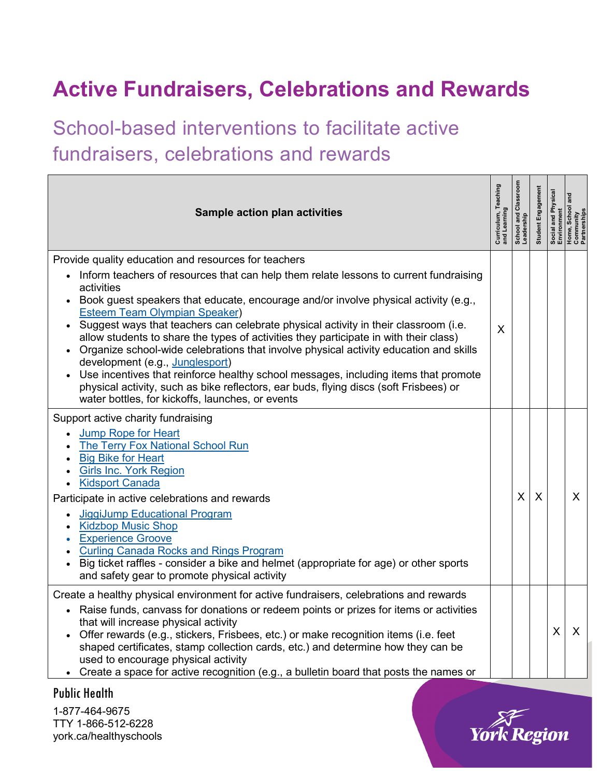## **Active Fundraisers, Celebrations and Rewards**

School-based interventions to facilitate active fundraisers, celebrations and rewards

| <b>Sample action plan activities</b>                                                                                                                                                                                                                                                                                                                                                                                                                                                                                                                                                                                                                                                                                                                                                                                                                      | Curriculum, Teaching<br>and Learning | School and Classroom<br>Leadership | Student Engagement | Social and Physical<br>Environment | and<br>Home, School ،<br>Community<br>Partnerships |
|-----------------------------------------------------------------------------------------------------------------------------------------------------------------------------------------------------------------------------------------------------------------------------------------------------------------------------------------------------------------------------------------------------------------------------------------------------------------------------------------------------------------------------------------------------------------------------------------------------------------------------------------------------------------------------------------------------------------------------------------------------------------------------------------------------------------------------------------------------------|--------------------------------------|------------------------------------|--------------------|------------------------------------|----------------------------------------------------|
| Provide quality education and resources for teachers<br>Inform teachers of resources that can help them relate lessons to current fundraising<br>activities<br>Book guest speakers that educate, encourage and/or involve physical activity (e.g.,<br>$\bullet$<br><b>Esteem Team Olympian Speaker)</b><br>• Suggest ways that teachers can celebrate physical activity in their classroom (i.e.<br>allow students to share the types of activities they participate in with their class)<br>Organize school-wide celebrations that involve physical activity education and skills<br>development (e.g., Junglesport)<br>Use incentives that reinforce healthy school messages, including items that promote<br>physical activity, such as bike reflectors, ear buds, flying discs (soft Frisbees) or<br>water bottles, for kickoffs, launches, or events | X                                    |                                    |                    |                                    |                                                    |
| Support active charity fundraising<br><b>Jump Rope for Heart</b><br><b>The Terry Fox National School Run</b><br><b>Big Bike for Heart</b><br><b>Girls Inc. York Region</b><br><b>Kidsport Canada</b><br>Participate in active celebrations and rewards<br>JiggiJump Educational Program<br><b>Kidzbop Music Shop</b><br><b>Experience Groove</b><br><b>Curling Canada Rocks and Rings Program</b><br>Big ticket raffles - consider a bike and helmet (appropriate for age) or other sports<br>$\bullet$<br>and safety gear to promote physical activity                                                                                                                                                                                                                                                                                                   |                                      | X                                  | X                  |                                    | X.                                                 |
| Create a healthy physical environment for active fundraisers, celebrations and rewards<br>• Raise funds, canvass for donations or redeem points or prizes for items or activities<br>that will increase physical activity<br>Offer rewards (e.g., stickers, Frisbees, etc.) or make recognition items (i.e. feet<br>shaped certificates, stamp collection cards, etc.) and determine how they can be<br>used to encourage physical activity<br>• Create a space for active recognition (e.g., a bulletin board that posts the names or                                                                                                                                                                                                                                                                                                                    |                                      |                                    |                    | X                                  | $\mathsf{X}$                                       |

Public Health

1-877-464-9675 TTY 1-866-512-6228 york.ca/healthyschools